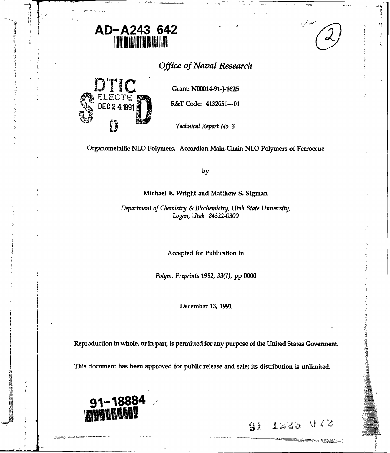

# *Office of Naval Research*

سىر

ų

 $1223$   $072$ 

to a server de la construction de la construction de la construction de la construction de la construction de<br>La construction de la construction de la construction de la construction de la construction de la construction

Ÿî



 $\frac{1}{2} \sum_{i=1}^{n} \frac{1}{2} \sum_{j=1}^{n} \frac{1}{2} \sum_{j=1}^{n} \frac{1}{2} \sum_{j=1}^{n} \frac{1}{2} \sum_{j=1}^{n} \frac{1}{2} \sum_{j=1}^{n} \frac{1}{2} \sum_{j=1}^{n} \frac{1}{2} \sum_{j=1}^{n} \frac{1}{2} \sum_{j=1}^{n} \frac{1}{2} \sum_{j=1}^{n} \frac{1}{2} \sum_{j=1}^{n} \frac{1}{2} \sum_{j=1}^{n} \frac{1}{2} \sum_{j=1}^{n$ 

ゆうどうどう こうしょう こうしょう こうしゅう しゅうしゅう しゅうしゅう こうしゅう こうしゅう

医子宫神经 医阿尔伯氏病 医血管下的 医心室 医前庭

**R&T Code: 4132051---01** 

*Technical Report No. 3*

Organometallic **NLO** Polymers. Accordion Main-Chain **NLO** Polymers of Ferrocene

**by**

Michael **E.** Wright and Matthew **S.** Sigman

*Department of Chemistry & Biochemistry, Utah State University, Logan, Utah 84322-0300*

Accepted for Publication in

*Polym. Preprints 1992, 33(1),* **pp 0000**

December **13, 1991**

Reproduction in whole, or in **part,** is permitted for any purpose of the United States Goverment.

This document has been approved for public release and sale; its distribution is unlimited.

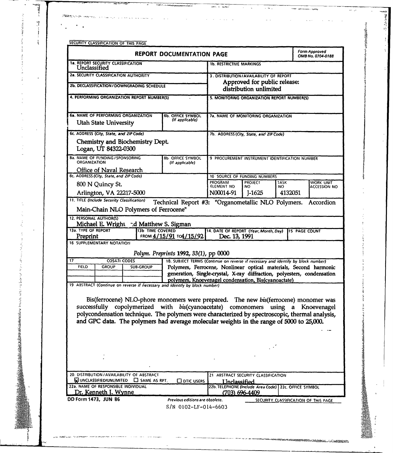| <b>REPORT DOCUMENTATION PAGE</b>                                                                  |                                                                                               |                                             |                                                                                                                                                                                                                                                                                                                                                                                                                                                       |                                                        |                                                                         |             | <b>Form Approved</b><br>OMB No. 0704-0188                               |
|---------------------------------------------------------------------------------------------------|-----------------------------------------------------------------------------------------------|---------------------------------------------|-------------------------------------------------------------------------------------------------------------------------------------------------------------------------------------------------------------------------------------------------------------------------------------------------------------------------------------------------------------------------------------------------------------------------------------------------------|--------------------------------------------------------|-------------------------------------------------------------------------|-------------|-------------------------------------------------------------------------|
| Unclassified                                                                                      | <b>1a. REPORT SECURITY CLASSIFICATION</b>                                                     |                                             |                                                                                                                                                                                                                                                                                                                                                                                                                                                       | <b>1b. RESTRICTIVE MARKINGS</b>                        |                                                                         |             |                                                                         |
| 2a. SECURITY CLASSIFICATION AUTHORITY                                                             |                                                                                               |                                             |                                                                                                                                                                                                                                                                                                                                                                                                                                                       | 3. DISTRIBUTION/AVAILABILITY OF REPORT                 |                                                                         |             |                                                                         |
| 2b. DECLASSIFICATION / DOWNGRADING SCHEDULE                                                       |                                                                                               |                                             |                                                                                                                                                                                                                                                                                                                                                                                                                                                       | Approved for public release:<br>distribution unlimited |                                                                         |             |                                                                         |
| 4. PERFORMING ORGANIZATION REPORT NUMBER(S)                                                       |                                                                                               |                                             |                                                                                                                                                                                                                                                                                                                                                                                                                                                       | 5. MONITORING ORGANIZATION REPORT NUMBER(S)            |                                                                         |             |                                                                         |
| 6a. NAME OF PERFORMING ORGANIZATION<br><b>Utah State University</b>                               |                                                                                               |                                             | <b>6b. OFFICE SYMBOL</b><br>(If applicable)                                                                                                                                                                                                                                                                                                                                                                                                           | 7a. NAME OF MONITORING ORGANIZATION                    |                                                                         |             |                                                                         |
|                                                                                                   | 6c. ADDRESS (City, State, and ZIP Code)                                                       |                                             |                                                                                                                                                                                                                                                                                                                                                                                                                                                       |                                                        |                                                                         |             |                                                                         |
|                                                                                                   | Logan, UT 84322-0300                                                                          | Chemistry and Biochemistry Dept.            |                                                                                                                                                                                                                                                                                                                                                                                                                                                       |                                                        | 7b. ADDRESS (City, State, and ZIP Code)                                 |             |                                                                         |
| <b>8a. NAME OF FUNDING / SPONSORING</b><br><b>ORGANIZATION</b><br><b>Office of Naval Research</b> |                                                                                               |                                             | <b>8b OFFICE SYMBOL</b><br>(If applicable)                                                                                                                                                                                                                                                                                                                                                                                                            | 9 PROCUREMENT INSTRUMENT IDENTIFICATION NUMBER         |                                                                         |             |                                                                         |
| 8c. ADDRESS (City, State, and ZIP Code)                                                           |                                                                                               |                                             |                                                                                                                                                                                                                                                                                                                                                                                                                                                       |                                                        | 10 SOURCE OF FUNDING NUMBERS                                            |             |                                                                         |
| 800 N Quincy St.                                                                                  |                                                                                               |                                             |                                                                                                                                                                                                                                                                                                                                                                                                                                                       | PROGRAM<br>ELEMENT NO                                  | <b>PROJECT</b><br>NO                                                    | TASK<br>NO. | WORK UNIT<br><b>ACCESSION NO</b>                                        |
| Arlington, VA 22217-5000<br>11. TITLE (Include Security Classification)                           |                                                                                               |                                             |                                                                                                                                                                                                                                                                                                                                                                                                                                                       | N00014-91                                              | $J-1625$                                                                | 4132051     |                                                                         |
|                                                                                                   | <b>12. PERSONAL AUTHOR(S)</b>                                                                 | Main-Chain NLO Polymers of Ferrocene"       | Technical Report #3: "Organometallic NLO Polymers.                                                                                                                                                                                                                                                                                                                                                                                                    |                                                        |                                                                         |             | Accordion                                                               |
|                                                                                                   |                                                                                               |                                             |                                                                                                                                                                                                                                                                                                                                                                                                                                                       |                                                        |                                                                         |             |                                                                         |
|                                                                                                   |                                                                                               |                                             | Michael E. Wright -d Matthew S. Sigman                                                                                                                                                                                                                                                                                                                                                                                                                |                                                        |                                                                         |             |                                                                         |
|                                                                                                   |                                                                                               | 13b TIME COVERED                            |                                                                                                                                                                                                                                                                                                                                                                                                                                                       | 14. DATE OF REPORT (Year, Month, Day)                  |                                                                         |             | <b>15 PAGE COUNT</b>                                                    |
| Preprint                                                                                          | 16 SUPPLEMENTARY NOTATION                                                                     |                                             | FROM 4/15/91 TO4/15/92                                                                                                                                                                                                                                                                                                                                                                                                                                | Dec. 13, 1991                                          |                                                                         |             |                                                                         |
|                                                                                                   |                                                                                               |                                             | Polym. Preprints 1992, 33(1), pp 0000                                                                                                                                                                                                                                                                                                                                                                                                                 |                                                        |                                                                         |             |                                                                         |
|                                                                                                   | <b>COSATI CODES</b>                                                                           |                                             | 18. SUBJECT TERMS (Continue on reverse if necessary and identify by block number)                                                                                                                                                                                                                                                                                                                                                                     |                                                        |                                                                         |             |                                                                         |
| <b>FIELD</b>                                                                                      | <b>GROUP</b>                                                                                  | <b>SUB-GROUP</b>                            |                                                                                                                                                                                                                                                                                                                                                                                                                                                       |                                                        |                                                                         |             | Polymers, Ferrocene, Nonlinear optical materials, Second harmonic       |
|                                                                                                   |                                                                                               |                                             | polymers, Knoevenagel condensation, Bis(cyanoactate)                                                                                                                                                                                                                                                                                                                                                                                                  |                                                        |                                                                         |             | generation, Single-crystal, X-ray diffraction, polyesters, condensation |
| 13a. TYPE OF REPORT<br>17                                                                         |                                                                                               |                                             | 19 ABSTRACT (Continue on reverse if necessary and identify by block number)<br>Bis(ferrocene) NLO-phore monomers were prepared. The new bis(ferrocene) monomer was<br>successfully copolymerized with bis(cyanoacetate) comonomers using a Knoevenagel<br>polycondensation technique. The polymers were characterized by spectroscopic, thermal analysis,<br>and GPC data. The polymers had average molecular weights in the range of 5000 to 25,000. |                                                        |                                                                         |             |                                                                         |
|                                                                                                   |                                                                                               |                                             |                                                                                                                                                                                                                                                                                                                                                                                                                                                       |                                                        |                                                                         |             |                                                                         |
|                                                                                                   |                                                                                               |                                             |                                                                                                                                                                                                                                                                                                                                                                                                                                                       |                                                        |                                                                         |             |                                                                         |
|                                                                                                   |                                                                                               |                                             |                                                                                                                                                                                                                                                                                                                                                                                                                                                       |                                                        |                                                                         |             |                                                                         |
|                                                                                                   |                                                                                               |                                             |                                                                                                                                                                                                                                                                                                                                                                                                                                                       |                                                        |                                                                         |             |                                                                         |
|                                                                                                   |                                                                                               | 20. DISTRIBUTION / AVAILABILITY OF ABSTRACT |                                                                                                                                                                                                                                                                                                                                                                                                                                                       |                                                        | 21 ABSTRACT SECURITY CLASSIFICATION                                     |             |                                                                         |
|                                                                                                   | WUNCLASSIFIED/UNLIMITED<br>22a. NAME OF RESPONSIBLE INDIVIDUAL<br><u>Dr. Kenneth J. Wynne</u> | $\Box$ SAME AS RPT.                         | $\Box$ DTIC USERS                                                                                                                                                                                                                                                                                                                                                                                                                                     | Unclassified                                           | 22b. TELEPHONE (Include Area Code) 22c. OFFICE SYMBOL<br>(703) 696-4409 |             |                                                                         |

 $\sim$   $\sim$   $\sim$ 

 $\omega_{\rm c}$  ,  $\omega$ 

コンコントループ こうかん あいまく こうかん あいしょう

 $\sim$   $\sim$ 

山 ほうしょう

**°4**

**ままでものですが、人の主につきてき** 

Hari al-**ASIM**ANG

<sup>4</sup>**. . . . . . .~** ---- -

 $\mathbb{Z}^{\mathbb{Z}}$  .

÷.

计算号

性。

 $\bar{\beta}$ 

 $\sim$ 

 $\label{eq:2.1} \mathcal{F}_1 = \mathcal{F}_2 = \mathcal{F}_3 = \mathcal{F}_4 = \mathcal{F}_5 = \mathcal{F}_6 = \mathcal{F}_7 = \mathcal{F}_8 = \mathcal{F}_8 = \mathcal{F}_9 = \mathcal{F}_9 = \mathcal{F}_9 = \mathcal{F}_9 = \mathcal{F}_9 = \mathcal{F}_9 = \mathcal{F}_9 = \mathcal{F}_9 = \mathcal{F}_9 = \mathcal{F}_9 = \mathcal{F}_9 = \mathcal{F}_9 = \mathcal{F}_9 = \mathcal{F}_9 = \mathcal{F}_9 = \mathcal{F}_9 = \mathcal{F}_9 = \mathcal$ 

Ad<sup>dis</sup>a

医异常的 医前列腺

ă

 $\frac{1}{\xi_{\rm c}}$ 

 $74.88$ 

×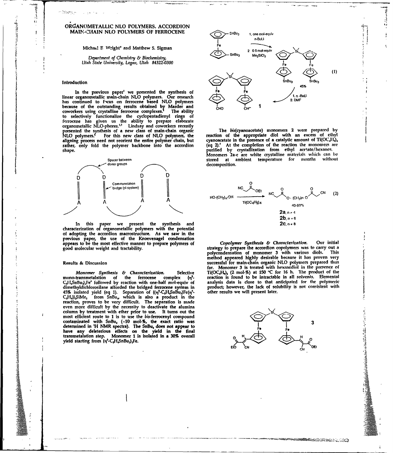# ORGANOMETALLIC NLO POLYMERS. ACCORDION **MAIN:-CHAIN NLO POLYMERS OF FERROCENE** SnBU<sub>3</sub> 1. one molequiv

 $Michael E$  Wright<sup>\*</sup> and Matthew S. Sigman

Utah State University, Logan, Utah 84322-0300

1530au

Ą  $\mathbf{L}$  )

J,

In the previous paper' we presented the synthesis of **Fe** Fe Fe The Theodore in the previous paper' we presented the synthesis of **Fe** Fe Theodore in the Blues organometallic main-chain NLO polymers. Our research The Unite has continued to f--cus on ferrocene based **NLO** polymers **. MFP** because of the outstanding results obtained **by** Marder and **4P 1** coworkers using crystalline ferrocene complexes. The ability **C. to** selectively functionalize the cyclopentadienyl **rings of** ferrocene has given us the ability to prepare **elaborate** organometallic NLO-phores.<sup>1,3</sup> Lindsay and coworkers recently presented the synthesis of a new class of main-chain organic The bis(cyanoacetate) monomers 2 were prepared **by NLO** polymers.' For this new class of **NLO** polymers, the reaction of the appropriate diol with an excess of ethyl NLO polymers.<sup>7</sup> For this new class of NLO polymers, the<br>aligning process need not reorient the entire polymer chain, but cyanoacetate in the presence of a catalytic amount of Ti(OC<sub>4</sub>H<sub>4</sub>)<sub>4</sub><br>rather, only fold the polymer rather, only fold the polymer backbone into the accordion (eq 2).' At the completion of the reaction ihe monomers are



In this paper we present the synthesis and **2C. A. B. A. B. A. B. A. B. B. A. B.** B. B. B. B. B. B. B. B. B. B. B characterization of organometallic polymers with the potential of adopting the accordion macrostructure. As we saw in the previous paper, the use of the Knoevenagel condensation appears to be the most effective manner to prepare polymers of Copolymer Synthesis *&* Characterization. **Our initial**

ı

mono-transmetalation of the ferrocene complex {q<sup>3</sup>} reaction is found to be intractable in all solvents. Elemental<br>C<sub>s</sub>H<sub>4</sub>SnBu,}<sub>1</sub>Fe<sup>6</sup> followed by reaction with one-half mol-equiv of analysis data is close to that anti 45% isolated yield (eq 1). Separation of  $\{(\eta^5-C_sH_sSn\tilde{B}u_s)Fe(\eta^5-C_sH_s\tilde{E}u_s)\}$ CHj)}SiMe, from **SnBu,** which is also a product in the reaction, proves to be very difficult. The separation is made even more difficult **by** the necessity to deactivate the alumina column by treatment with ether prior to use. It turns out the most efficient route to 1 is to use the bis-ferrocenyl compound<br>contaminated with SnBu, (~10 mol-%, the exact ratio was contaminated with **SnBu4 (-10** mol-%, the exact ratio was determined in 'H NMR spectra). The SnBu, does not appear to F, **Fe Fe** have any deleterious effects on the yield in the final transmetalation step. Monomer 1 is isolated in a 30% overall **ARC ACC ACC ACC ACC A** H<br>yield starting from (y<sup>5</sup>-C<sub>3</sub>H<sub>4</sub>SnBu<sub>s</sub>)<sub>2</sub>Fe.



shape. purified **by** crystallization from ethyl ace'ate/hexanes. Monomers 2a-c are white crystalline materiale which can **be** Spacer between stored at ambient temperature for months without



good molecular weight and tractability.<br>
good molecular weight and tractability.<br>
not condensation of monomer 3 with various diols. This polycondensation of monomer 3 with various diols. method appeared highly desirable because it has proven very **Results &** Discussion successful for main-chain organic **NLO** polymers prepared thus far. Monomer **3** is treated with hexanediol in the presence of *Monomer Synthesis & Characterization.* Selective Ti(OC,H,), (2 mol-%) at 150 °C for 16 h. The product of the ferrocene complex  $\{n^3 - \dots \}$  reaction is found to be intractable in all solvents. Elemental product; however, the lack of solubility is not consistent with other results we will present later.



r<del>entries in the s</del>eed

**N, A**